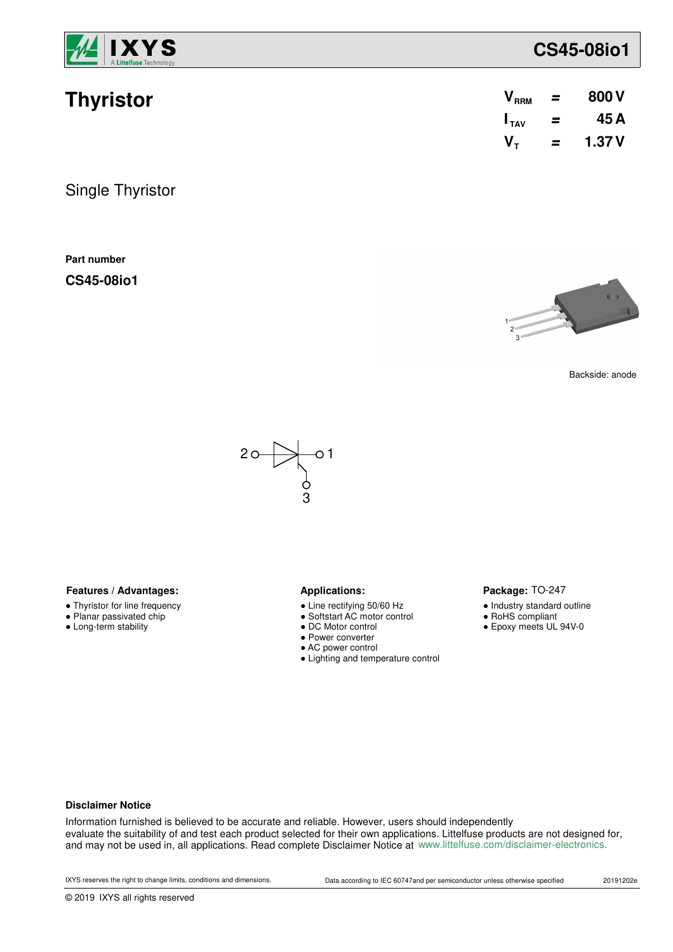

| <b>Thyristor</b> |  | $V_{RRM}$ = 800 V   |
|------------------|--|---------------------|
|                  |  | $I_{TAV}$ = 45A     |
|                  |  | $V_{\tau}$ = 1.37 V |

Single Thyristor

**Part number**

**CS45-08io1**



Backside: anode



### Features / Advantages: **All Applications: Applications:**

- Thyristor for line frequency
- Planar passivated chip
- Long-term stability

- Line rectifying 50/60 Hz
- Softstart AC motor control
- DC Motor control
- Power converter
- AC power control
- Lighting and temperature control

### Package: TO-247

- Industry standard outline
- RoHS compliant
- Epoxy meets UL 94V-0

#### **Disclaimer Notice**

Information furnished is believed to be accurate and reliable. However, users should independently evaluate the suitability of and test each product selected for their own applications. Littelfuse products are not designed for, and may not be used in, all applications. Read complete Disclaimer Notice at www.littelfuse.com/disclaimer-electronics.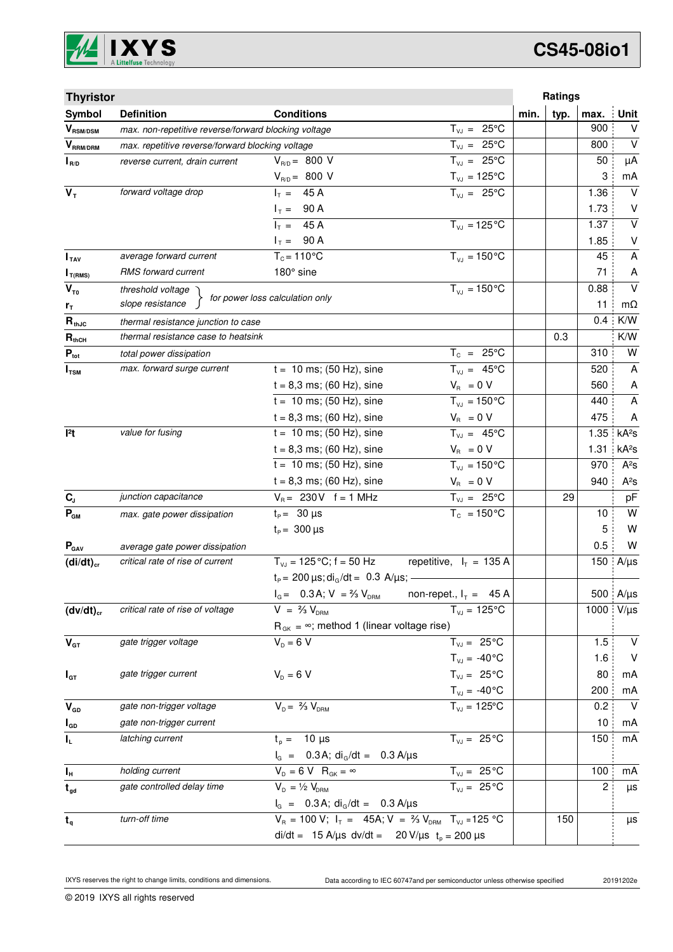

| <b>Thyristor</b>                           |                                                      |                                                                            |                             |      | Ratings |      |                         |
|--------------------------------------------|------------------------------------------------------|----------------------------------------------------------------------------|-----------------------------|------|---------|------|-------------------------|
| Symbol                                     | <b>Definition</b>                                    | <b>Conditions</b>                                                          |                             | min. | typ.    | max. | <b>Unit</b>             |
| $\bm{V}_{\text{RSM/DSM}}$                  | max. non-repetitive reverse/forward blocking voltage |                                                                            | $T_{V,I} = 25^{\circ}C$     |      |         | 900  | $\vee$                  |
| $V_{\scriptscriptstyle \sf{RRM}/\sf{DRM}}$ | max. repetitive reverse/forward blocking voltage     |                                                                            | $T_{VJ} = 25^{\circ}C$      |      |         | 800  | $\vee$                  |
| $I_{R/D}$                                  | reverse current, drain current                       | $V_{R/D} = 800 V$                                                          | $T_{VJ} = 25^{\circ}C$      |      |         | 50   | μA                      |
|                                            |                                                      | $V_{R/D} = 800 V$                                                          | $T_{\nu J} = 125$ °C        |      |         | 3    | mA                      |
| $V_T$                                      | forward voltage drop                                 | $I_T = 45 A$                                                               | $T_{V,1} = 25^{\circ}C$     |      |         | 1.36 | $\vee$                  |
|                                            |                                                      | $I_T = 90 A$                                                               |                             |      |         | 1.73 | V                       |
|                                            |                                                      | $I_T = 45 A$                                                               | $T_{VJ} = 125$ °C           |      |         | 1.37 | $\vee$                  |
|                                            |                                                      | $I_T = 90 A$                                                               |                             |      |         | 1.85 | $\sf V$                 |
| I <sub>TAV</sub>                           | average forward current                              | $T_c = 110^{\circ}$ C                                                      | $T_{VJ} = 150 °C$           |      |         | 45   | A                       |
| $I_{T(RMS)}$                               | RMS forward current                                  | 180° sine                                                                  |                             |      |         | 71   | A                       |
| $V_{\tau_0}$                               | threshold voltage                                    | for power loss calculation only                                            | $T_{VJ} = 150^{\circ}C$     |      |         | 0.88 | $\vee$                  |
| $r_{\tau}$                                 | slope resistance                                     |                                                                            |                             |      |         | 11   | mΩ                      |
| $R_{thJC}$                                 | thermal resistance junction to case                  |                                                                            |                             |      |         | 0.4  | K/W                     |
| $R_{thCH}$                                 | thermal resistance case to heatsink                  |                                                                            |                             |      | 0.3     |      | K/W                     |
| $P_{\text{tot}}$                           | total power dissipation                              |                                                                            | $T_c = 25^{\circ}C$         |      |         | 310  | W                       |
| $I_{\texttt{TSM}}$                         | max. forward surge current                           | $t = 10$ ms; (50 Hz), sine                                                 | $T_{VJ} = 45^{\circ}C$      |      |         | 520  | A                       |
|                                            |                                                      | $t = 8,3$ ms; (60 Hz), sine                                                | $V_{\rm R} = 0 V$           |      |         | 560  | A                       |
|                                            |                                                      | $t = 10$ ms; (50 Hz), sine                                                 | $T_{V,I} = 150^{\circ}C$    |      |         | 440  | $\overline{\mathsf{A}}$ |
|                                            |                                                      | $t = 8,3$ ms; (60 Hz), sine                                                | $V_{B} = 0 V$               |      |         | 475  | Α                       |
| 12t                                        | value for fusing                                     | $t = 10$ ms; (50 Hz), sine                                                 | $T_{VJ} = 45^{\circ}C$      |      |         | 1.35 | kA <sup>2</sup> S       |
|                                            |                                                      | $t = 8,3$ ms; (60 Hz), sine                                                | $V_R = 0 V$                 |      |         | 1.31 | kA <sup>2</sup> s       |
|                                            |                                                      | $t = 10$ ms; (50 Hz), sine                                                 | $T_{VJ} = 150^{\circ}C$     |      |         | 970  | $A^2S$                  |
|                                            |                                                      | $t = 8,3$ ms; (60 Hz), sine                                                | $V_{\rm R} = 0 V$           |      |         | 940  | $A^2S$                  |
| $C_{J}$                                    | junction capacitance                                 | $V_B = 230V$ f = 1 MHz                                                     | $T_{VJ} = 25^{\circ}C$      |      | 29      |      | pF                      |
| $P_{GM}$                                   | max. gate power dissipation                          | $t_P = 30 \mu s$                                                           | $T_c = 150^{\circ}$ C       |      |         | 10   | W                       |
|                                            |                                                      | $t_{\rm p} = 300 \,\mu s$                                                  |                             |      |         | 5    | W                       |
| $P_{\text{GAV}}$                           | average gate power dissipation                       |                                                                            |                             |      |         | 0.5  | W                       |
| $(di/dt)_{cr}$                             | critical rate of rise of current                     | $T_{V_1}$ = 125 °C; f = 50 Hz                                              | repetitive, $I_T = 135 A$   |      |         | 150  | $A/\mu s$               |
|                                            |                                                      | $t_P = 200 \,\mu s$ ; di <sub>G</sub> /dt = 0.3 A/ $\mu s$ ; -             |                             |      |         |      |                         |
|                                            |                                                      | $I_{G} = 0.3 A; V = \frac{2}{3} V_{DRM}$                                   | non-repet., $I_T = 45 A$    |      |         |      | 500 A/µs                |
| $(dv/dt)_{cr}$                             | critical rate of rise of voltage                     | $V = \frac{2}{3} V_{DBM}$                                                  | $T_{VJ} = 125^{\circ}C$     |      |         | 1000 | $V/\mu s$               |
|                                            |                                                      | $R_{gK} = \infty$ ; method 1 (linear voltage rise)                         |                             |      |         |      |                         |
| $\mathbf{V}_{\text{GT}}$                   | gate trigger voltage                                 | $V_p = 6 V$                                                                | $T_{VJ} = 25^{\circ}C$      |      |         | 1.5  | $\vee$                  |
|                                            |                                                      |                                                                            | $T_{VJ} = -40$ °C           |      |         | 1.6  | V                       |
| $I_{GT}$                                   | gate trigger current                                 | $V_{D} = 6 V$                                                              | $T_{VJ} = 25^{\circ}C$      |      |         | 80   | mA                      |
|                                            |                                                      |                                                                            | $T_{VJ} = -40^{\circ}C$     |      |         | 200  | mA                      |
| $\mathbf{V}_{\texttt{GD}}$                 | gate non-trigger voltage                             | $V_{D} = \frac{2}{3} V_{DBM}$                                              | $\overline{T_{vJ}}$ = 125°C |      |         | 0.2  | $\vee$                  |
| $I_{GD}$                                   | gate non-trigger current                             |                                                                            |                             |      |         | 10   | mA                      |
| $\mathbf{l}_\mathsf{L}$                    | latching current                                     | $t_{p} = 10 \mu s$                                                         | $T_{VJ} = 25^{\circ}C$      |      |         | 150  | mA                      |
|                                            |                                                      | $I_G$ = 0.3 A; di <sub>G</sub> /dt = 0.3 A/ $\mu$ s                        |                             |      |         |      |                         |
| Iн                                         | holding current                                      | $V_{D} = 6 V R_{GK} = \infty$                                              | $T_{VJ} = 25^{\circ}C$      |      |         | 100  | mA                      |
| $t_{gd}$                                   | gate controlled delay time                           | $V_{D} = \frac{1}{2} V_{DRM}$                                              | $T_{VJ} = 25 °C$            |      |         | 2    | $\mu s$                 |
|                                            |                                                      | $I_G = 0.3 A$ ; di <sub>G</sub> /dt = 0.3 A/µs                             |                             |      |         |      |                         |
| $t_q$                                      | turn-off time                                        | $V_R = 100 V; I_T = 45A; V = \frac{2}{3} V_{DRM}$ T <sub>VJ</sub> = 125 °C |                             |      | 150     |      | μs                      |
|                                            |                                                      | di/dt = 15 A/µs dv/dt = 20 V/µs $t_p = 200 \mu s$                          |                             |      |         |      |                         |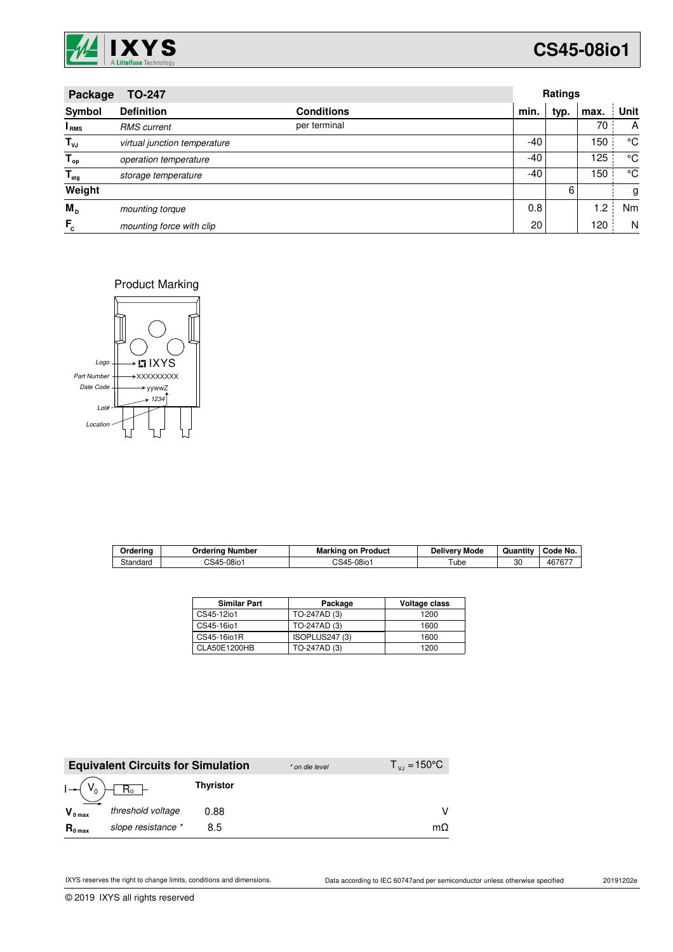

| <b>TO-247</b><br>Package  |                              |                   |      | Ratings |      |      |  |
|---------------------------|------------------------------|-------------------|------|---------|------|------|--|
| Symbol                    | <b>Definition</b>            | <b>Conditions</b> | min. | typ.    | max. | Unit |  |
| <b>I</b> <sub>RMS</sub>   | <b>RMS</b> current           | per terminal      |      |         | 70   | A    |  |
| $T_{\nu J}$               | virtual junction temperature |                   | -40  |         | 150  | °C   |  |
| $T_{op}$                  | operation temperature        |                   | -40  |         | 125  | °C   |  |
| $\mathsf{T}_{\text{stg}}$ | storage temperature          |                   | -40  |         | 150  | °C   |  |
| Weight                    |                              |                   |      | 6       |      | g    |  |
| $M_{\rm D}$               | mounting torque              |                   | 0.8  |         | 1.2  | Nm   |  |
| $F_c$                     | mounting force with clip     |                   | 20   |         | 120  | N    |  |

Product Marking



| Orderina | Jrderina<br>∣ Number        | Marking<br>⊧on Product  | Mode<br>Deliverv | Quantity | Code No. |
|----------|-----------------------------|-------------------------|------------------|----------|----------|
| Standard | 5-08io <sup>-</sup><br>CS45 | <sup>∩</sup> S45-08io ï | ube              | 30       | 467677   |

| <b>Similar Part</b> | Package        | Voltage class |
|---------------------|----------------|---------------|
| CS45-12io1          | TO-247AD (3)   | 1200          |
| CS45-16io1          | TO-247AD (3)   | 1600          |
| CS45-16io1R         | ISOPLUS247 (3) | 1600          |
| CLA50E1200HB        | TO-247AD (3)   | 1200          |

|                     | <b>Equivalent Circuits for Simulation</b> |                  | * on die level | $T_{V,1} = 150^{\circ}C$ |
|---------------------|-------------------------------------------|------------------|----------------|--------------------------|
|                     |                                           | <b>Thyristor</b> |                |                          |
| $V_{0 \text{ max}}$ | threshold voltage                         | 0.88             |                |                          |
| $R_{0 \text{ max}}$ | slope resistance *                        | 8.5              |                | mΩ                       |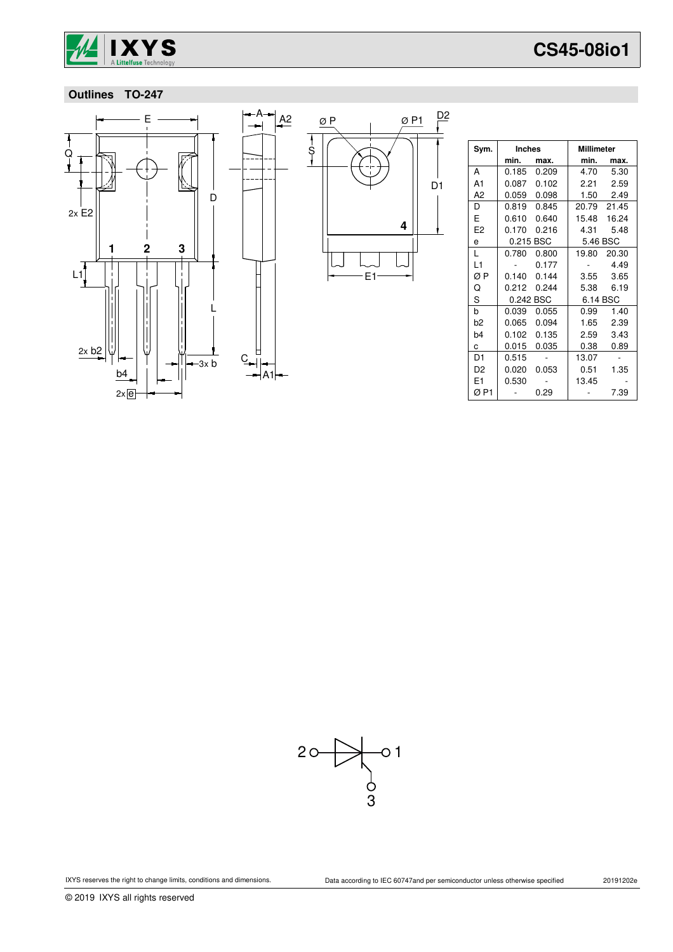

### **Outlines TO-247**



| Sym.           | <b>Inches</b> |       | <b>Millimeter</b> |             |
|----------------|---------------|-------|-------------------|-------------|
|                | min.          | max.  | min.              | max.        |
| A              | 0.185         | 0.209 | 4.70              | 5.30        |
| A1             | 0.087         | 0.102 | 2.21              | 2.59        |
| A2             | 0.059         | 0.098 |                   | 1.50 2.49   |
| D              | 0.819         | 0.845 |                   | 20.79 21.45 |
| E              | 0.610         | 0.640 | 15.48             | 16.24       |
| E <sub>2</sub> | 0.170         | 0.216 | 4.31              | 5.48        |
| e              | 0.215 BSC     |       | 5.46 BSC          |             |
| L              | 0.780         | 0.800 | 19.80             | 20.30       |
| L1             |               | 0.177 |                   | 4.49        |
| ØΡ             | 0.140         | 0.144 | 3.55              | 3.65        |
| Q              | 0.212         | 0.244 | 5.38              | 6.19        |
| S              | 0.242 BSC     |       | 6.14 BSC          |             |
| b              | 0.039         | 0.055 | 0.99              | 1.40        |
| h2             | 0.065         | 0.094 | 1.65              | 2.39        |
| b4             | 0.102         | 0.135 | 2.59              | 3.43        |
| C              | 0.015         | 0.035 | 0.38              | 0.89        |
| D1             | 0.515         |       | 13.07             |             |
| D <sub>2</sub> | 0.020         | 0.053 | 0.51              | 1.35        |
| F1             | 0.530         |       | 13.45             |             |
| ØP1            |               | 0.29  |                   | 7.39        |